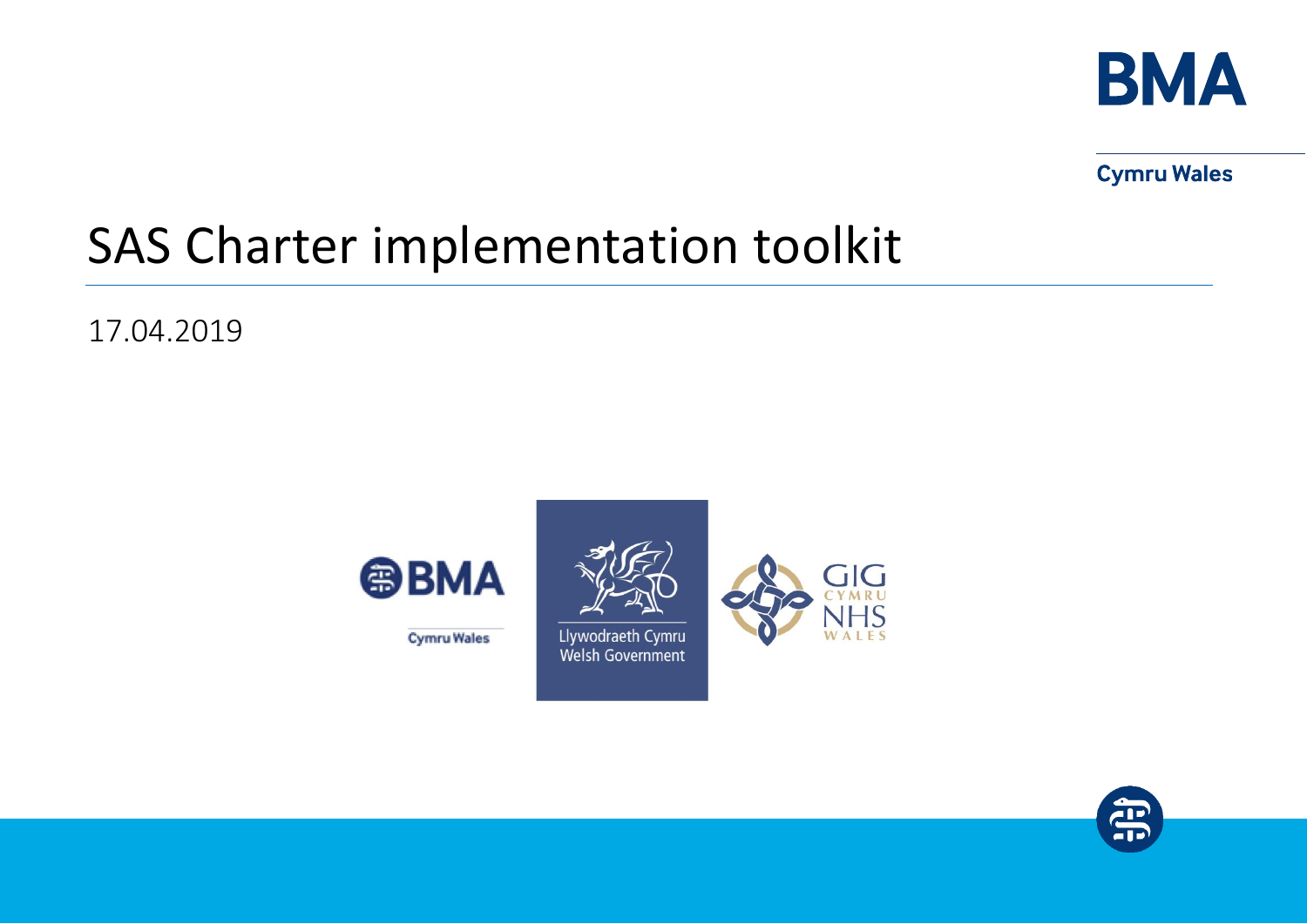

**Cymru Wales** 

# SAS Charter implementation toolkit

17.04.2019



**Cymru Wales** 



Llywodraeth Cymru Welsh Government



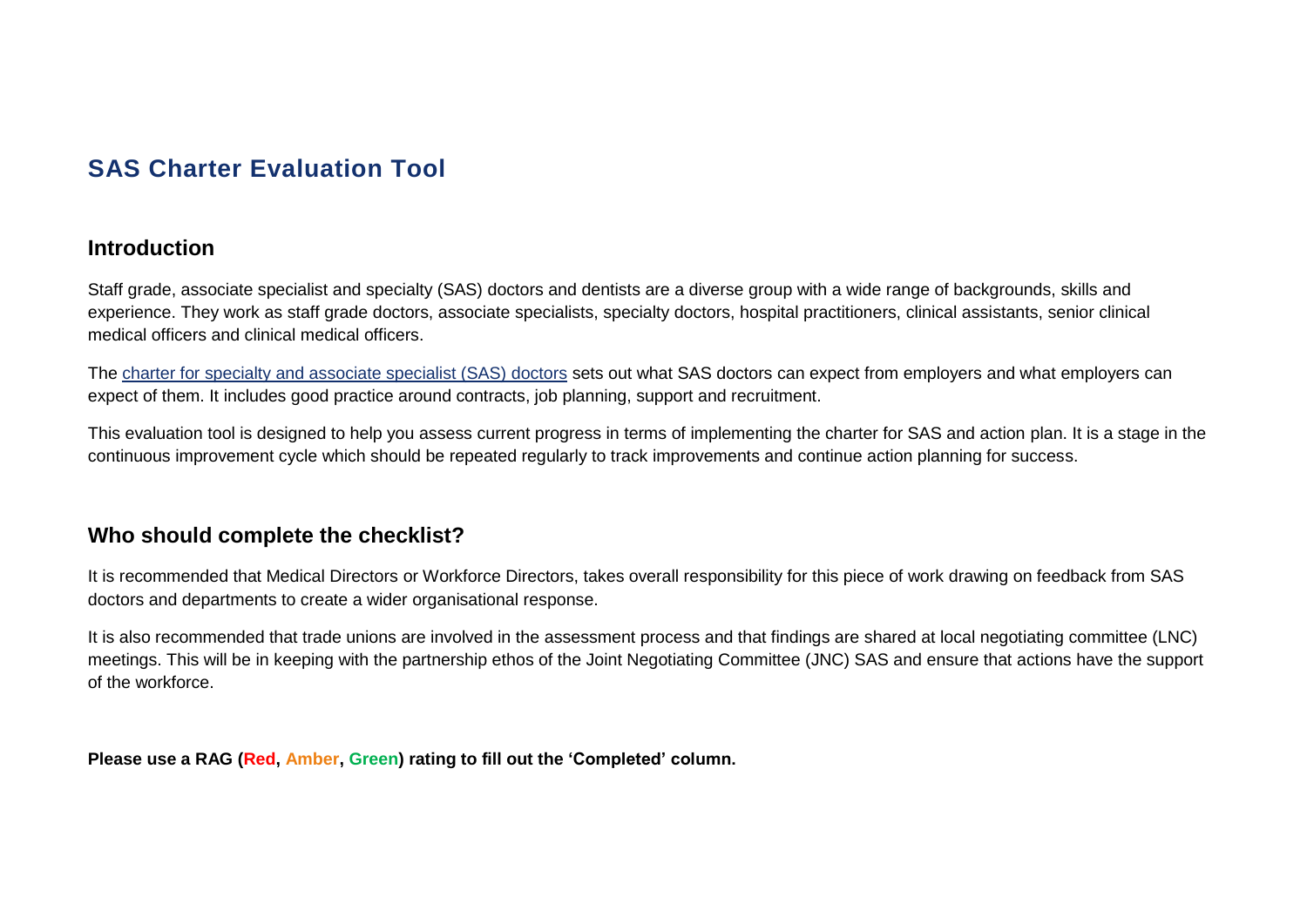## **SAS Charter Evaluation Tool**

## **Introduction**

Staff grade, associate specialist and specialty (SAS) doctors and dentists are a diverse group with a wide range of backgrounds, skills and experience. They work as staff grade doctors, associate specialists, specialty doctors, hospital practitioners, clinical assistants, senior clinical medical officers and clinical medical officers.

The [charter for specialty and associate specialist \(SAS\) doctors](https://www.bma.org.uk/-/media/files/pdfs/developing%20your%20career/sas%20grade%20doctor/sas-charter-wales-august-2016.pdf) sets out what SAS doctors can expect from employers and what employers can expect of them. It includes good practice around contracts, job planning, support and recruitment.

This evaluation tool is designed to help you assess current progress in terms of implementing the charter for SAS and action plan. It is a stage in the continuous improvement cycle which should be repeated regularly to track improvements and continue action planning for success.

## **Who should complete the checklist?**

It is recommended that Medical Directors or Workforce Directors, takes overall responsibility for this piece of work drawing on feedback from SAS doctors and departments to create a wider organisational response.

It is also recommended that trade unions are involved in the assessment process and that findings are shared at local negotiating committee (LNC) meetings. This will be in keeping with the partnership ethos of the Joint Negotiating Committee (JNC) SAS and ensure that actions have the support of the workforce.

**Please use a RAG (Red, Amber, Green) rating to fill out the 'Completed' column.**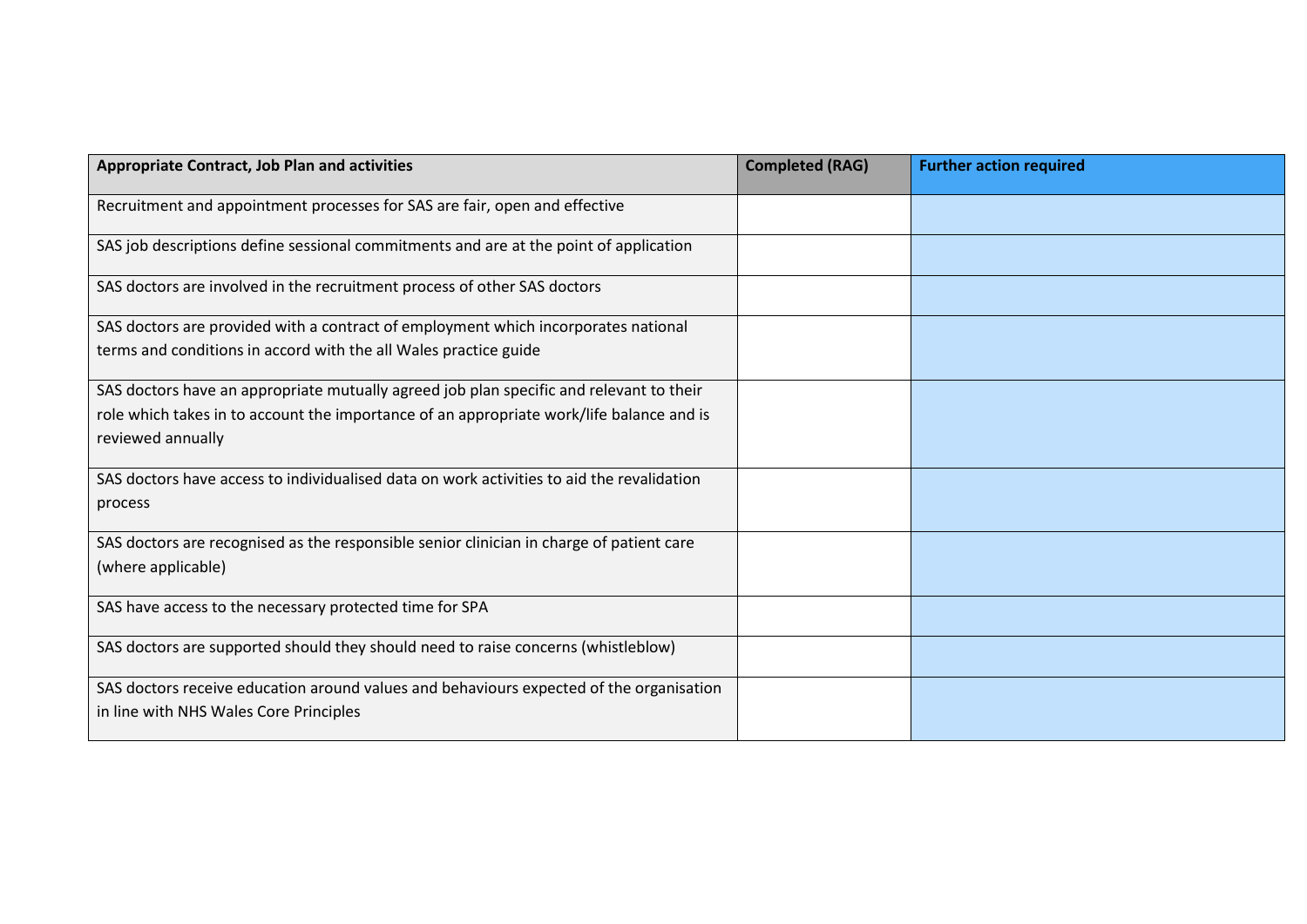| <b>Appropriate Contract, Job Plan and activities</b>                                      | <b>Completed (RAG)</b> | <b>Further action required</b> |
|-------------------------------------------------------------------------------------------|------------------------|--------------------------------|
| Recruitment and appointment processes for SAS are fair, open and effective                |                        |                                |
| SAS job descriptions define sessional commitments and are at the point of application     |                        |                                |
| SAS doctors are involved in the recruitment process of other SAS doctors                  |                        |                                |
| SAS doctors are provided with a contract of employment which incorporates national        |                        |                                |
| terms and conditions in accord with the all Wales practice guide                          |                        |                                |
| SAS doctors have an appropriate mutually agreed job plan specific and relevant to their   |                        |                                |
| role which takes in to account the importance of an appropriate work/life balance and is  |                        |                                |
| reviewed annually                                                                         |                        |                                |
| SAS doctors have access to individualised data on work activities to aid the revalidation |                        |                                |
| process                                                                                   |                        |                                |
| SAS doctors are recognised as the responsible senior clinician in charge of patient care  |                        |                                |
| (where applicable)                                                                        |                        |                                |
| SAS have access to the necessary protected time for SPA                                   |                        |                                |
| SAS doctors are supported should they should need to raise concerns (whistleblow)         |                        |                                |
| SAS doctors receive education around values and behaviours expected of the organisation   |                        |                                |
| in line with NHS Wales Core Principles                                                    |                        |                                |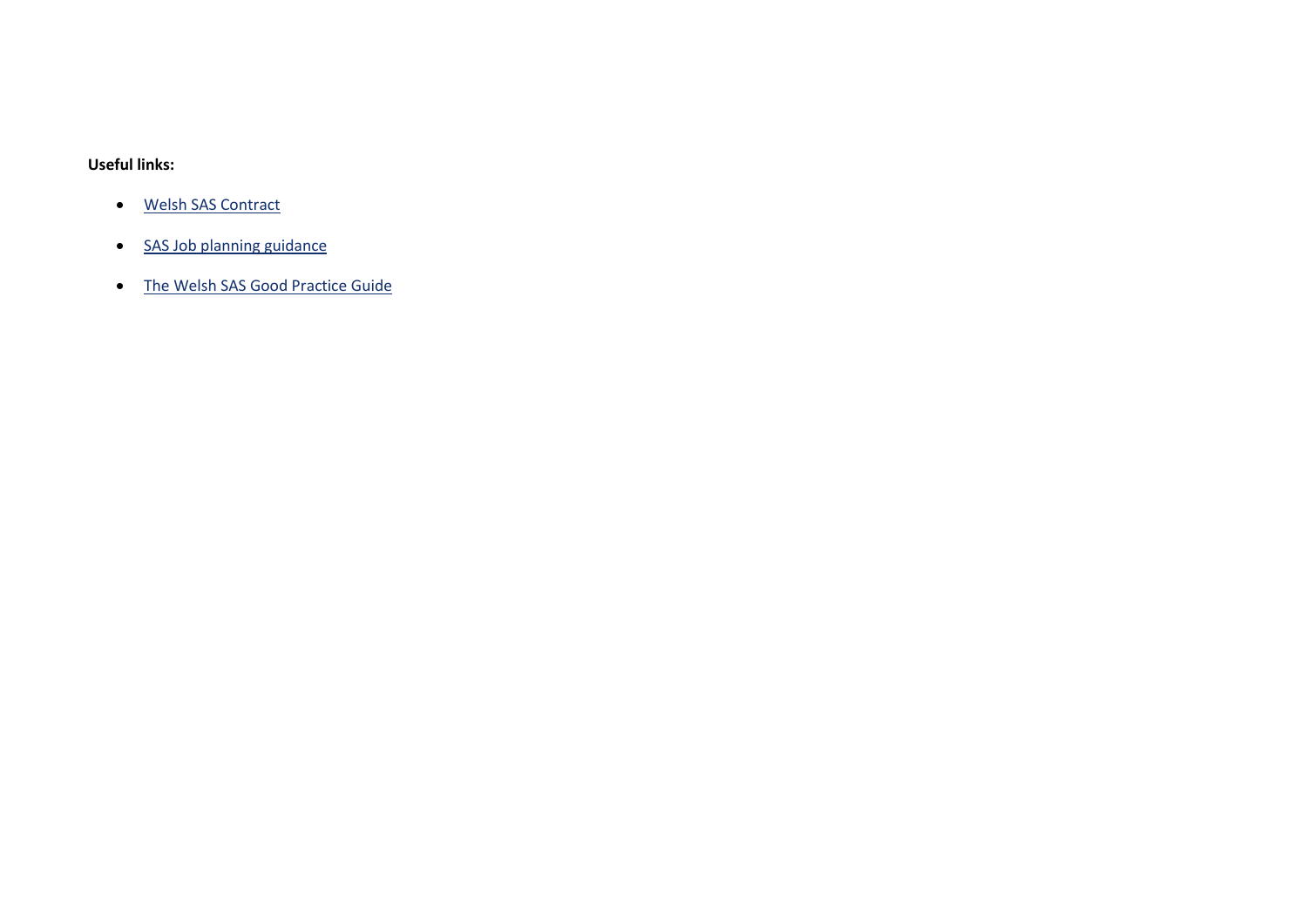#### **Useful links:**

- [Welsh SAS Contract](https://www.bma.org.uk/advice/employment/contracts/sas-contracts/sas-wales)
- [SAS Job planning guidance](https://www.bma.org.uk/advice/employment/job-planning/job-planning-for-sas/job-planning-sas-doctors)
- [The Welsh SAS Good Practice Guide](http://www.wales.nhs.uk/sites3/documents/433/gpg%20final.rtf)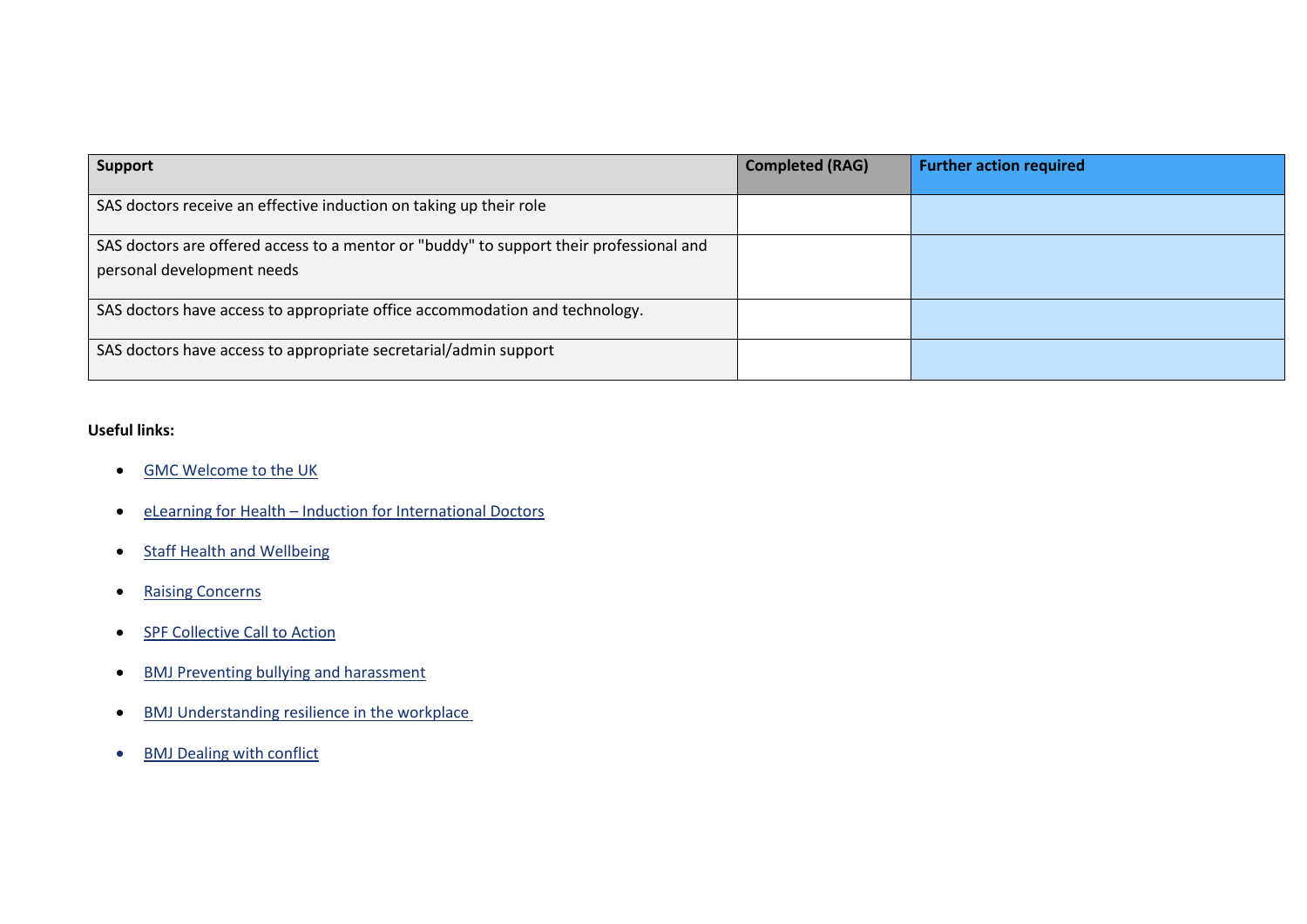| <b>Support</b>                                                                                                        | <b>Completed (RAG)</b> | <b>Further action required</b> |
|-----------------------------------------------------------------------------------------------------------------------|------------------------|--------------------------------|
| SAS doctors receive an effective induction on taking up their role                                                    |                        |                                |
| SAS doctors are offered access to a mentor or "buddy" to support their professional and<br>personal development needs |                        |                                |
| SAS doctors have access to appropriate office accommodation and technology.                                           |                        |                                |
| SAS doctors have access to appropriate secretarial/admin support                                                      |                        |                                |

### **Useful links:**

- [GMC Welcome to the UK](https://www.gmc-uk.org/about/what-we-do-and-why/learning-and-support/workshops-for-doctors/welcome-to-uk-practice)
- eLearning for Health [Induction for International Doctors](https://www.e-lfh.org.uk/programmes/induction-for-international-doctors/)
- [Staff Health and Wellbeing](http://www.nwssp.wales.nhs.uk/i-need-to-ensure-health-and-wellbeing-of)
- [Raising Concerns](https://www.nhsconfed.org/regions-and-eu/welsh-nhs-confederation/~/~/link.aspx?_id=47043C7D0B0846E8A5B5266B6AA4E2C0&_z=z)
- [SPF Collective Call to Action](https://www.socialpartnershipforum.org/priority-areas/tackling-bullying-in-the-nhs-a-collective-call-to-action/)
- [BMJ Preventing bullying and harassment](http://learning.bmj.com/learning/module-intro/.html?moduleId=10061413)
- [BMJ Understanding resilience in the workplace](http://learning.bmj.com/learning/module-intro/resilience.html?moduleId=10060244&locale=en_GB)
- [BMJ Dealing with conflict](http://learning.bmj.com/learning/module-intro/conflict.html?moduleId=10060212&locale=en_GB)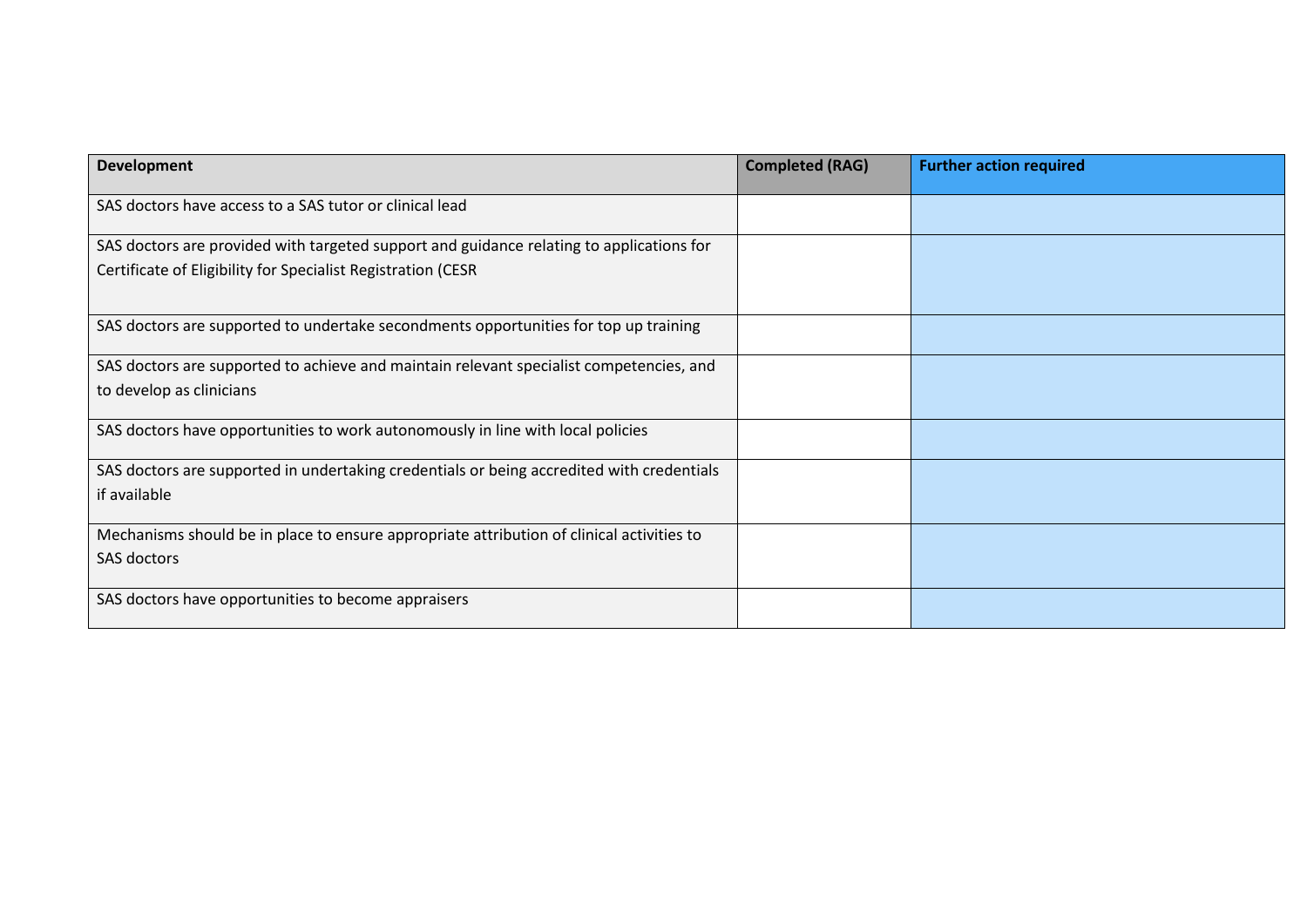| <b>Development</b>                                                                                                                                       | <b>Completed (RAG)</b> | <b>Further action required</b> |
|----------------------------------------------------------------------------------------------------------------------------------------------------------|------------------------|--------------------------------|
| SAS doctors have access to a SAS tutor or clinical lead                                                                                                  |                        |                                |
| SAS doctors are provided with targeted support and guidance relating to applications for<br>Certificate of Eligibility for Specialist Registration (CESR |                        |                                |
| SAS doctors are supported to undertake secondments opportunities for top up training                                                                     |                        |                                |
| SAS doctors are supported to achieve and maintain relevant specialist competencies, and<br>to develop as clinicians                                      |                        |                                |
| SAS doctors have opportunities to work autonomously in line with local policies                                                                          |                        |                                |
| SAS doctors are supported in undertaking credentials or being accredited with credentials<br>if available                                                |                        |                                |
| Mechanisms should be in place to ensure appropriate attribution of clinical activities to<br><b>SAS doctors</b>                                          |                        |                                |
| SAS doctors have opportunities to become appraisers                                                                                                      |                        |                                |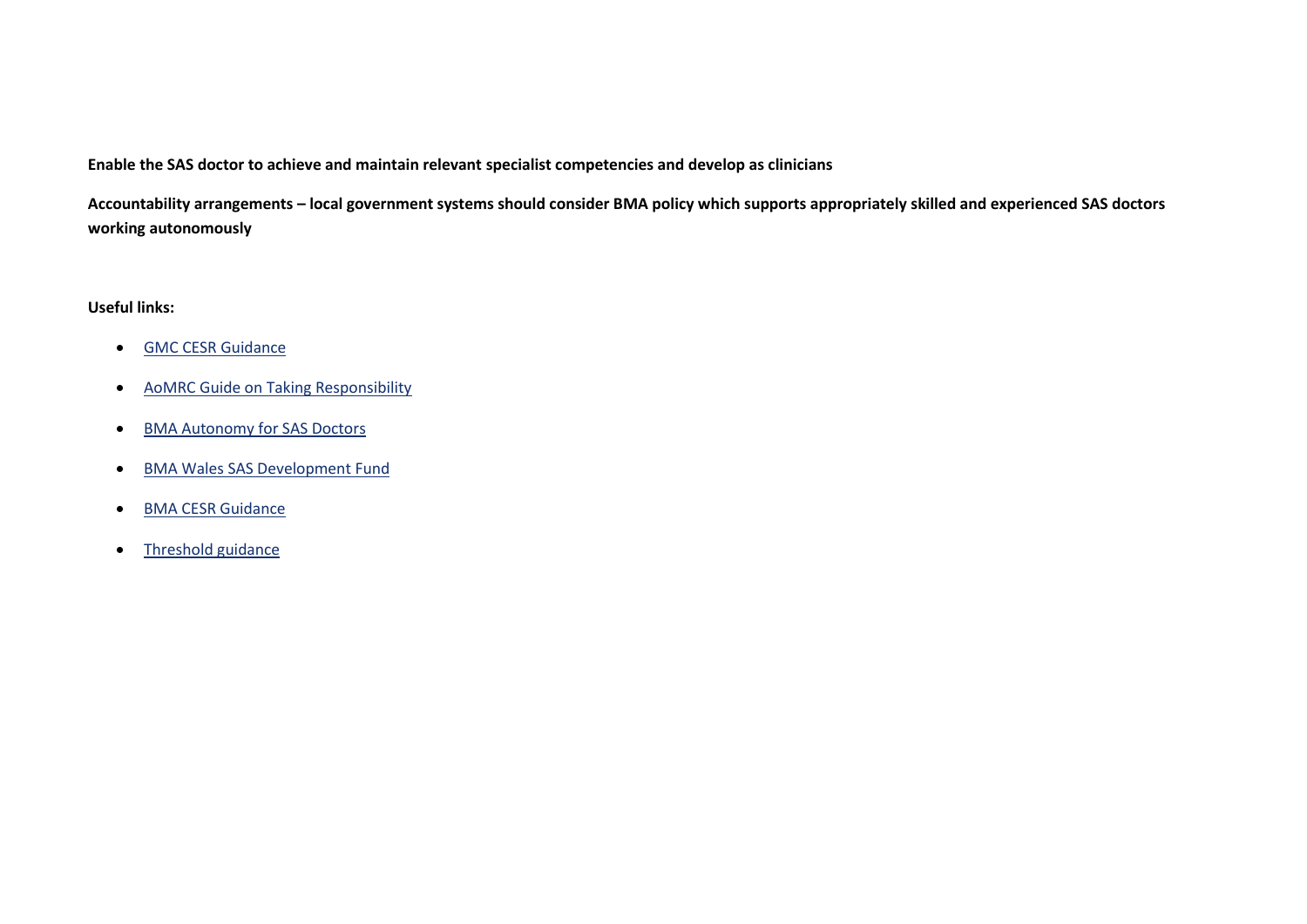**Enable the SAS doctor to achieve and maintain relevant specialist competencies and develop as clinicians**

**Accountability arrangements – local government systems should consider BMA policy which supports appropriately skilled and experienced SAS doctors working autonomously**

#### **Useful links:**

- [GMC CESR Guidance](https://www.gmc-uk.org/registration-and-licensing/join-the-register/registration-applications/specialty-specific-guidance-for-cesr-and-cegpr)
- [AoMRC Guide on Taking Responsibility](http://www.aomrc.org.uk/wp-content/uploads/2016/05/Taking_Responsibility_Accountable_Clinicians_0614.pdf)
- [BMA Autonomy for SAS Doctors](https://www.bma.org.uk/advice/employment/contracts/sas-contracts/autonomy-for-sas-grade-doctors)
- [BMA Wales SAS Development Fund](https://www.bma.org.uk/advice/career/progress-your-career/sas-development-fund)
- [BMA CESR Guidance](https://www.bma.org.uk/advice/career/applying-for-a-job/cesr-guidance)
- [Threshold guidance](https://www.bma.org.uk/advice/employment/contracts/sas-contracts/progression-guidance)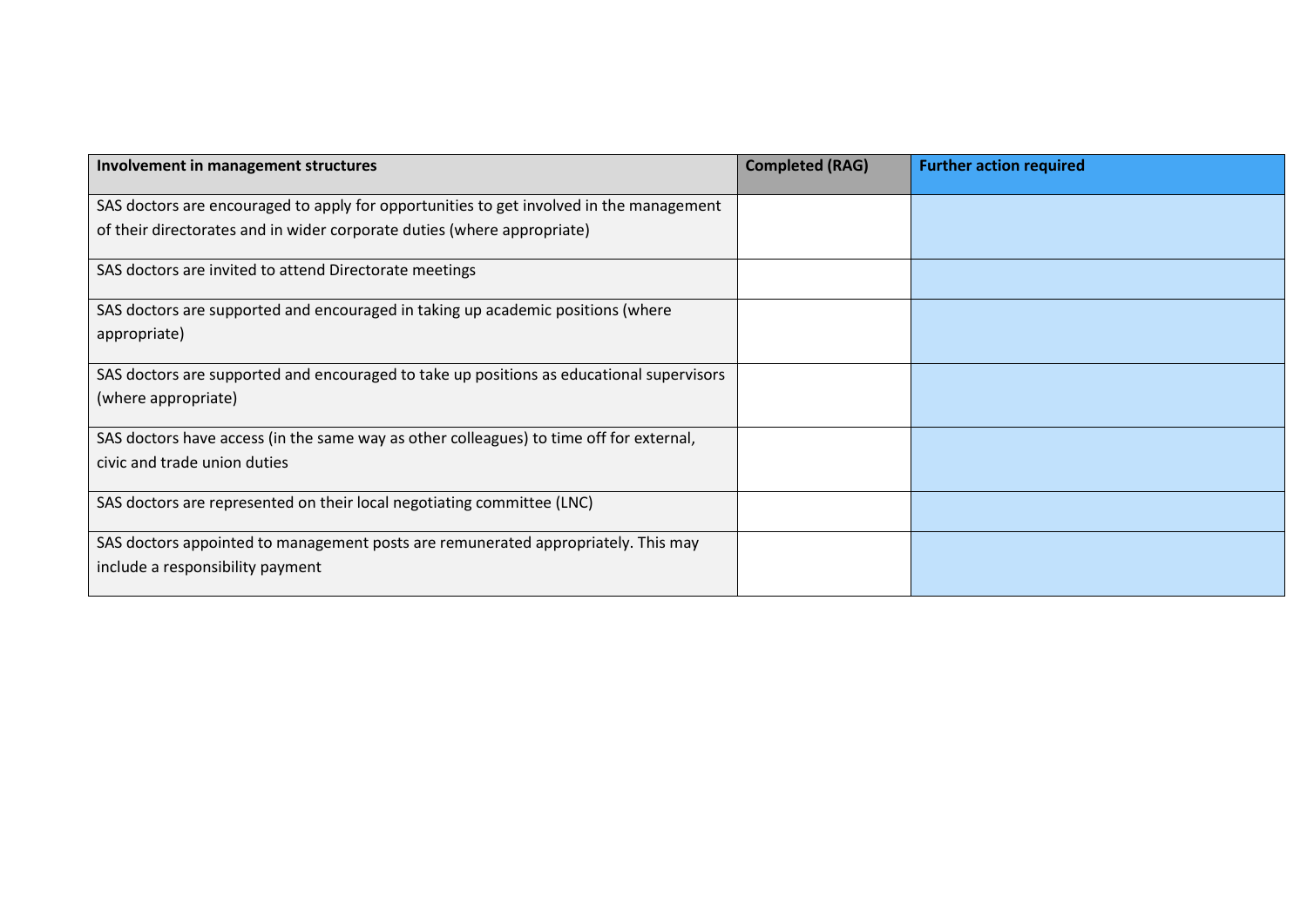| Involvement in management structures                                                     | <b>Completed (RAG)</b> | <b>Further action required</b> |
|------------------------------------------------------------------------------------------|------------------------|--------------------------------|
| SAS doctors are encouraged to apply for opportunities to get involved in the management  |                        |                                |
| of their directorates and in wider corporate duties (where appropriate)                  |                        |                                |
| SAS doctors are invited to attend Directorate meetings                                   |                        |                                |
| SAS doctors are supported and encouraged in taking up academic positions (where          |                        |                                |
| appropriate)                                                                             |                        |                                |
| SAS doctors are supported and encouraged to take up positions as educational supervisors |                        |                                |
| (where appropriate)                                                                      |                        |                                |
| SAS doctors have access (in the same way as other colleagues) to time off for external,  |                        |                                |
| civic and trade union duties                                                             |                        |                                |
| SAS doctors are represented on their local negotiating committee (LNC)                   |                        |                                |
| SAS doctors appointed to management posts are remunerated appropriately. This may        |                        |                                |
| include a responsibility payment                                                         |                        |                                |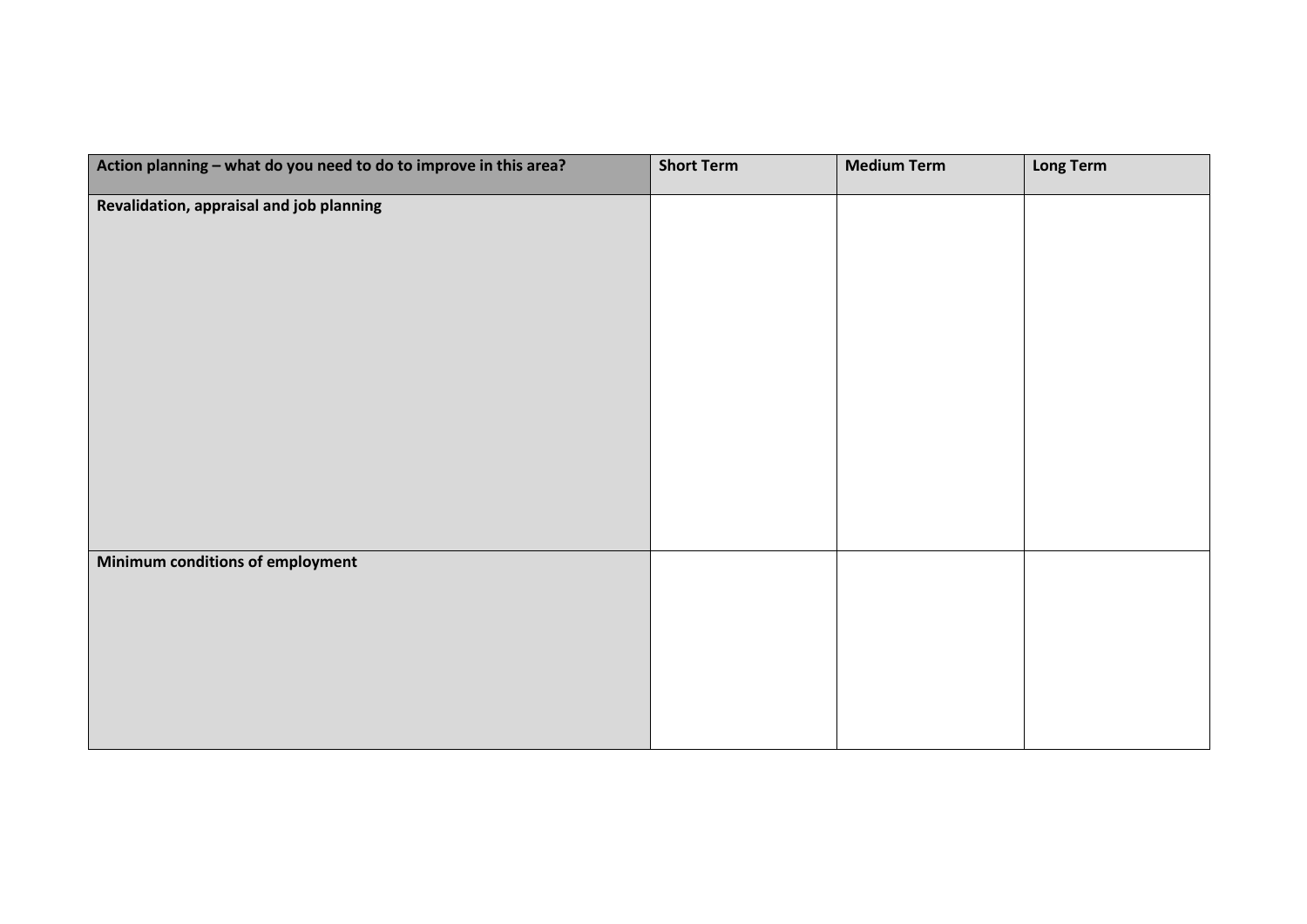| Action planning - what do you need to do to improve in this area? | <b>Short Term</b> | <b>Medium Term</b> | <b>Long Term</b> |
|-------------------------------------------------------------------|-------------------|--------------------|------------------|
| Revalidation, appraisal and job planning                          |                   |                    |                  |
|                                                                   |                   |                    |                  |
|                                                                   |                   |                    |                  |
|                                                                   |                   |                    |                  |
|                                                                   |                   |                    |                  |
|                                                                   |                   |                    |                  |
|                                                                   |                   |                    |                  |
|                                                                   |                   |                    |                  |
|                                                                   |                   |                    |                  |
|                                                                   |                   |                    |                  |
| Minimum conditions of employment                                  |                   |                    |                  |
|                                                                   |                   |                    |                  |
|                                                                   |                   |                    |                  |
|                                                                   |                   |                    |                  |
|                                                                   |                   |                    |                  |
|                                                                   |                   |                    |                  |